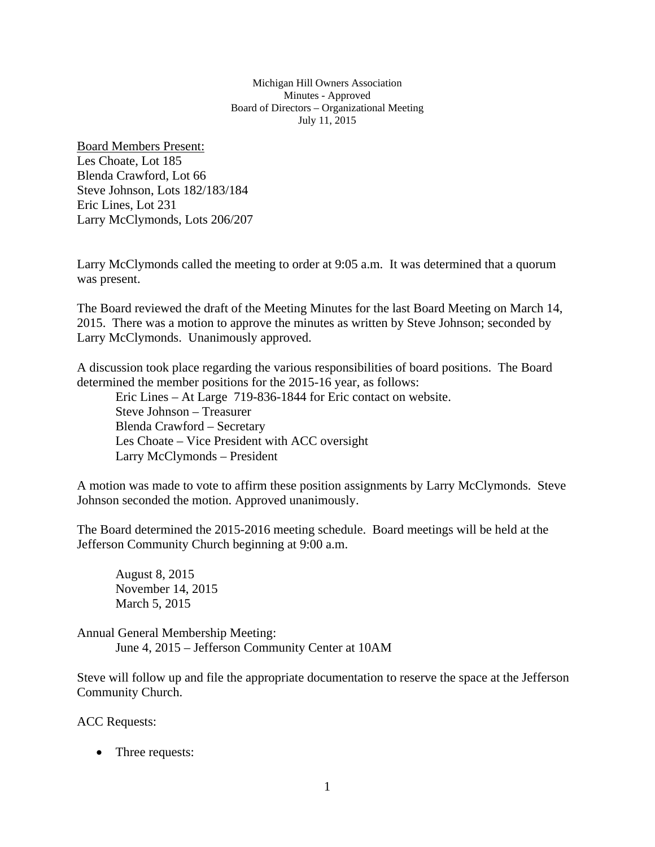Michigan Hill Owners Association Minutes - Approved Board of Directors – Organizational Meeting July 11, 2015

Board Members Present: Les Choate, Lot 185 Blenda Crawford, Lot 66 Steve Johnson, Lots 182/183/184 Eric Lines, Lot 231 Larry McClymonds, Lots 206/207

Larry McClymonds called the meeting to order at 9:05 a.m. It was determined that a quorum was present.

The Board reviewed the draft of the Meeting Minutes for the last Board Meeting on March 14, 2015. There was a motion to approve the minutes as written by Steve Johnson; seconded by Larry McClymonds. Unanimously approved.

A discussion took place regarding the various responsibilities of board positions. The Board determined the member positions for the 2015-16 year, as follows:

Eric Lines – At Large 719-836-1844 for Eric contact on website. Steve Johnson – Treasurer Blenda Crawford – Secretary Les Choate – Vice President with ACC oversight Larry McClymonds – President

A motion was made to vote to affirm these position assignments by Larry McClymonds. Steve Johnson seconded the motion. Approved unanimously.

The Board determined the 2015-2016 meeting schedule. Board meetings will be held at the Jefferson Community Church beginning at 9:00 a.m.

August 8, 2015 November 14, 2015 March 5, 2015

Annual General Membership Meeting: June 4, 2015 – Jefferson Community Center at 10AM

Steve will follow up and file the appropriate documentation to reserve the space at the Jefferson Community Church.

ACC Requests:

• Three requests: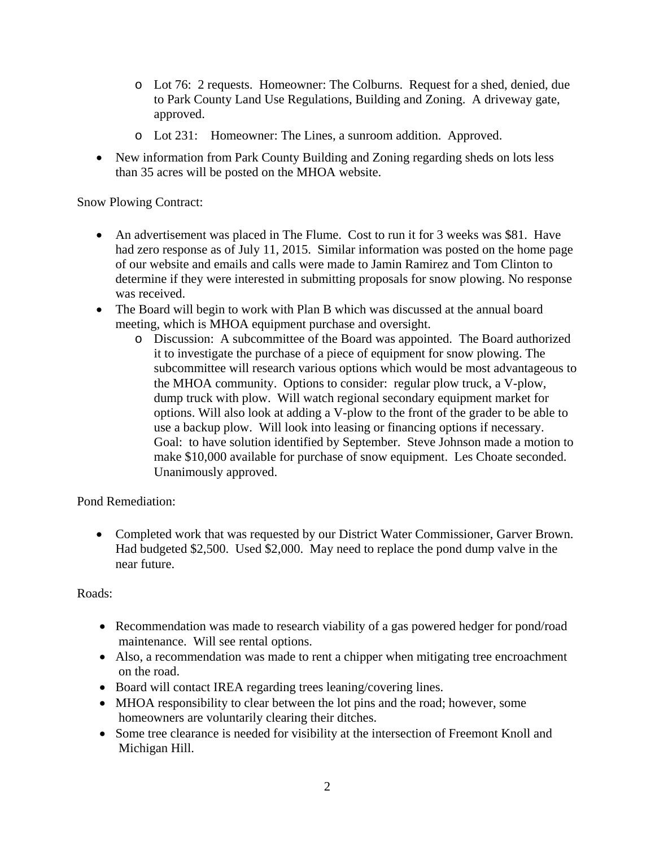- o Lot 76: 2 requests. Homeowner: The Colburns. Request for a shed, denied, due to Park County Land Use Regulations, Building and Zoning. A driveway gate, approved.
- o Lot 231: Homeowner: The Lines, a sunroom addition. Approved.
- New information from Park County Building and Zoning regarding sheds on lots less than 35 acres will be posted on the MHOA website.

Snow Plowing Contract:

- An advertisement was placed in The Flume. Cost to run it for 3 weeks was \$81. Have had zero response as of July 11, 2015. Similar information was posted on the home page of our website and emails and calls were made to Jamin Ramirez and Tom Clinton to determine if they were interested in submitting proposals for snow plowing. No response was received.
- The Board will begin to work with Plan B which was discussed at the annual board meeting, which is MHOA equipment purchase and oversight.
	- o Discussion: A subcommittee of the Board was appointed. The Board authorized it to investigate the purchase of a piece of equipment for snow plowing. The subcommittee will research various options which would be most advantageous to the MHOA community. Options to consider: regular plow truck, a V-plow, dump truck with plow. Will watch regional secondary equipment market for options. Will also look at adding a V-plow to the front of the grader to be able to use a backup plow. Will look into leasing or financing options if necessary. Goal: to have solution identified by September. Steve Johnson made a motion to make \$10,000 available for purchase of snow equipment. Les Choate seconded. Unanimously approved.

Pond Remediation:

• Completed work that was requested by our District Water Commissioner, Garver Brown. Had budgeted \$2,500. Used \$2,000. May need to replace the pond dump valve in the near future.

## Roads:

- Recommendation was made to research viability of a gas powered hedger for pond/road maintenance. Will see rental options.
- Also, a recommendation was made to rent a chipper when mitigating tree encroachment on the road.
- Board will contact IREA regarding trees leaning/covering lines.
- MHOA responsibility to clear between the lot pins and the road; however, some homeowners are voluntarily clearing their ditches.
- Some tree clearance is needed for visibility at the intersection of Freemont Knoll and Michigan Hill.